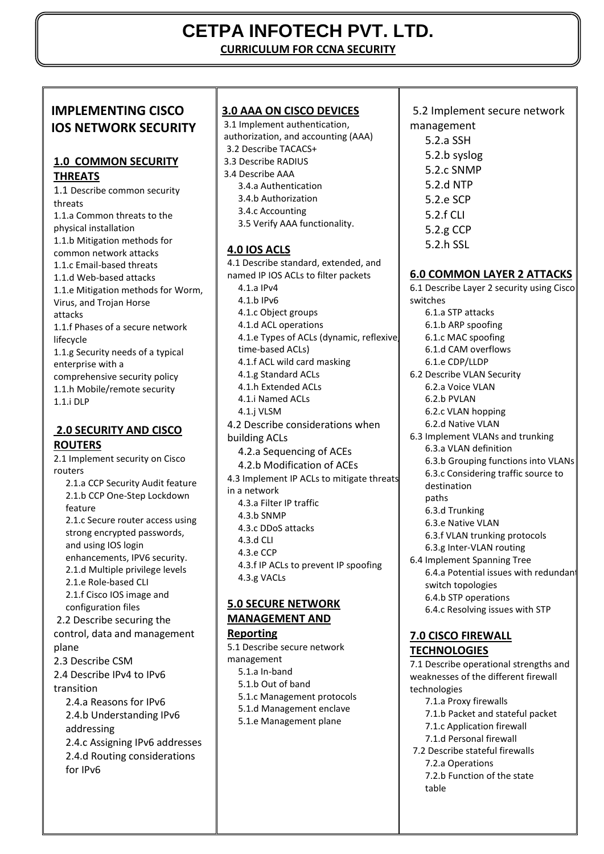# **CETPA INFOTECH PVT. LTD.**

**CURRICULUM FOR CCNA SECURITY**

# **IMPLEMENTING CISCO IOS NETWORK SECURITY**

# **1.0 COMMON SECURITY THREATS**

1.1 Describe common security threats 1.1.a Common threats to the physical installation 1.1.b Mitigation methods for common network attacks 1.1.c Email-based threats 1.1.d Web-based attacks 1.1.e Mitigation methods for Worm, Virus, and Trojan Horse attacks 1.1.f Phases of a secure network lifecycle 1.1.g Security needs of a typical enterprise with a comprehensive security policy 1.1.h Mobile/remote security 1.1.i DLP

# **2.0 SECURITY AND CISCO ROUTERS**

2.1 Implement security on Cisco routers 2.1.a CCP Security Audit feature 2.1.b CCP One-Step Lockdown

feature 2.1.c Secure router access using strong encrypted passwords, and using IOS login enhancements, IPV6 security. 2.1.d Multiple privilege levels 2.1.e Role-based CLI 2.1.f Cisco IOS image and configuration files 2.2 Describe securing the control, data and management plane 2.3 Describe CSM

2.4 Describe IPv4 to IPv6 transition

2.4.a Reasons for IPv6 2.4.b Understanding IPv6 addressing 2.4.c Assigning IPv6 addresses 2.4.d Routing considerations for IPv6

**3.0 AAA ON CISCO DEVICES**  3.1 Implement authentication, authorization, and accounting (AAA) 3.2 Describe TACACS+ 3.3 Describe RADIUS 3.4 Describe AAA 3.4.a Authentication 3.4.b Authorization 3.4.c Accounting 3.5 Verify AAA functionality. **4.0 IOS ACLS**  4.1 Describe standard, extended, and named IP IOS ACLs to filter packets 4.1.a IPv4 4.1.b IPv6 4.1.c Object groups 4.1.d ACL operations 4.1.e Types of ACLs (dynamic, reflexive, time-based ACLs) 4.1.f ACL wild card masking 4.1.g Standard ACLs 4.1.h Extended ACLs 4.1.i Named ACLs 4.1.j VLSM 4.2 Describe considerations when building ACLs 4.2.a Sequencing of ACEs 4.2.b Modification of ACEs 4.3 Implement IP ACLs to mitigate threats in a network 4.3.a Filter IP traffic 4.3.b SNMP 4.3.c DDoS attacks 4.3.d CLI 4.3.e CCP 4.3.f IP ACLs to prevent IP spoofing 4.3.g VACLs **5.0 SECURE NETWORK MANAGEMENT AND Reporting** 

5.1 Describe secure network management 5.1.a In-band 5.1.b Out of band 5.1.c Management protocols 5.1.d Management enclave 5.1.e Management plane

### 5.2 Implement secure network management

5.2.a SSH 5.2.b syslog 5.2.c SNMP 5.2.d NTP 5.2.e SCP 5.2.f CLI 5.2.g CCP 5.2.h SSL

# **6.0 COMMON LAYER 2 ATTACKS**

6.1 Describe Layer 2 security using Cisco switches 6.1.a STP attacks 6.1.b ARP spoofing 6.1.c MAC spoofing 6.1.d CAM overflows 6.1.e CDP/LLDP 6.2 Describe VLAN Security 6.2.a Voice VLAN 6.2.b PVLAN 6.2.c VLAN hopping 6.2.d Native VLAN 6.3 Implement VLANs and trunking 6.3.a VLAN definition 6.3.b Grouping functions into VLANs 6.3.c Considering traffic source to destination paths 6.3.d Trunking 6.3.e Native VLAN 6.3.f VLAN trunking protocols 6.3.g Inter-VLAN routing 6.4 Implement Spanning Tree 6.4.a Potential issues with redundant switch topologies 6.4.b STP operations 6.4.c Resolving issues with STP

### **7.0 CISCO FIREWALL TECHNOLOGIES**

7.1 Describe operational strengths and weaknesses of the different firewall technologies

- 7.1.a Proxy firewalls
- 7.1.b Packet and stateful packet
- 7.1.c Application firewall
- 7.1.d Personal firewall
- 7.2 Describe stateful firewalls 7.2.a Operations 7.2.b Function of the state table